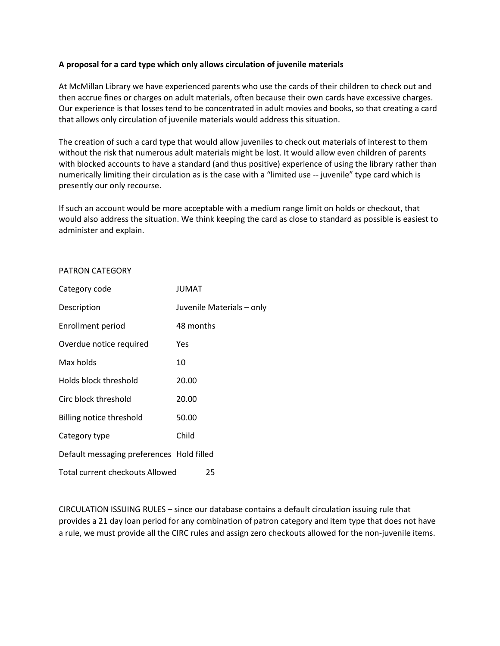#### **A proposal for a card type which only allows circulation of juvenile materials**

At McMillan Library we have experienced parents who use the cards of their children to check out and then accrue fines or charges on adult materials, often because their own cards have excessive charges. Our experience is that losses tend to be concentrated in adult movies and books, so that creating a card that allows only circulation of juvenile materials would address this situation.

The creation of such a card type that would allow juveniles to check out materials of interest to them without the risk that numerous adult materials might be lost. It would allow even children of parents with blocked accounts to have a standard (and thus positive) experience of using the library rather than numerically limiting their circulation as is the case with a "limited use -- juvenile" type card which is presently our only recourse.

If such an account would be more acceptable with a medium range limit on holds or checkout, that would also address the situation. We think keeping the card as close to standard as possible is easiest to administer and explain.

#### PATRON CATEGORY

| Category code                             | <b>JUMAT</b>              |
|-------------------------------------------|---------------------------|
| Description                               | Juvenile Materials - only |
| Enrollment period                         | 48 months                 |
| Overdue notice required                   | Yes                       |
| Max holds                                 | 10                        |
| Holds block threshold                     | 20.00                     |
| Circ block threshold                      | 20.00                     |
| Billing notice threshold                  | 50.00                     |
| Category type                             | Child                     |
| Default messaging preferences Hold filled |                           |
| <b>Total current checkouts Allowed</b>    | 25                        |

CIRCULATION ISSUING RULES – since our database contains a default circulation issuing rule that provides a 21 day loan period for any combination of patron category and item type that does not have a rule, we must provide all the CIRC rules and assign zero checkouts allowed for the non-juvenile items.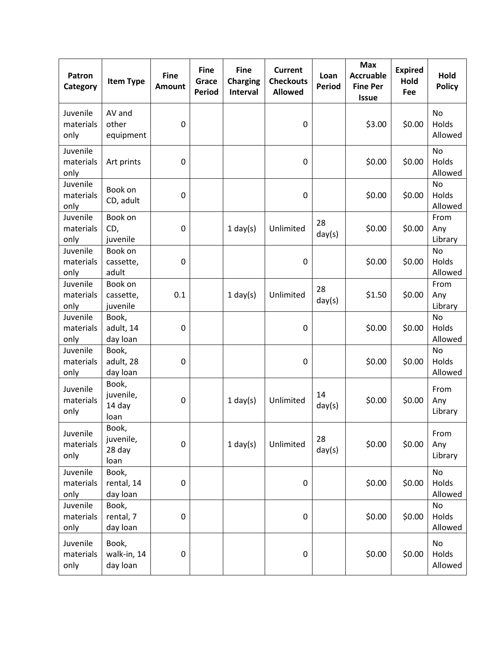| Patron<br>Category            | <b>Item Type</b>                     | <b>Fine</b><br><b>Amount</b> | <b>Fine</b><br>Grace<br><b>Period</b> | <b>Fine</b><br><b>Charging</b><br><b>Interval</b> | <b>Current</b><br><b>Checkouts</b><br><b>Allowed</b> | Loan<br><b>Period</b> | <b>Max</b><br><b>Accruable</b><br><b>Fine Per</b><br><b>Issue</b> | <b>Expired</b><br>Hold<br>Fee | Hold<br><b>Policy</b>         |
|-------------------------------|--------------------------------------|------------------------------|---------------------------------------|---------------------------------------------------|------------------------------------------------------|-----------------------|-------------------------------------------------------------------|-------------------------------|-------------------------------|
| Juvenile<br>materials<br>only | AV and<br>other<br>equipment         | $\mathbf 0$                  |                                       |                                                   | $\pmb{0}$                                            |                       | \$3.00                                                            | \$0.00                        | <b>No</b><br>Holds<br>Allowed |
| Juvenile<br>materials<br>only | Art prints                           | $\mathbf 0$                  |                                       |                                                   | 0                                                    |                       | \$0.00                                                            | \$0.00                        | <b>No</b><br>Holds<br>Allowed |
| Juvenile<br>materials<br>only | Book on<br>CD, adult                 | 0                            |                                       |                                                   | 0                                                    |                       | \$0.00                                                            | \$0.00                        | <b>No</b><br>Holds<br>Allowed |
| Juvenile<br>materials<br>only | Book on<br>CD,<br>juvenile           | 0                            |                                       | $1$ day(s)                                        | Unlimited                                            | 28<br>day(s)          | \$0.00                                                            | \$0.00                        | From<br>Any<br>Library        |
| Juvenile<br>materials<br>only | Book on<br>cassette,<br>adult        | $\mathbf 0$                  |                                       |                                                   | $\mathbf 0$                                          |                       | \$0.00                                                            | \$0.00                        | No<br>Holds<br>Allowed        |
| Juvenile<br>materials<br>only | Book on<br>cassette,<br>juvenile     | 0.1                          |                                       | $1$ day(s)                                        | Unlimited                                            | 28<br>day(s)          | \$1.50                                                            | \$0.00                        | From<br>Any<br>Library        |
| Juvenile<br>materials<br>only | Book,<br>adult, 14<br>day loan       | $\mathbf 0$                  |                                       |                                                   | $\mathbf 0$                                          |                       | \$0.00                                                            | \$0.00                        | <b>No</b><br>Holds<br>Allowed |
| Juvenile<br>materials<br>only | Book,<br>adult, 28<br>day loan       | 0                            |                                       |                                                   | 0                                                    |                       | \$0.00                                                            | \$0.00                        | <b>No</b><br>Holds<br>Allowed |
| Juvenile<br>materials<br>only | Book,<br>juvenile,<br>14 day<br>loan | $\mathbf 0$                  |                                       | $1$ day(s)                                        | Unlimited                                            | 14<br>day(s)          | \$0.00                                                            | \$0.00                        | From<br>Any<br>Library        |
| Juvenile<br>materials<br>only | Book,<br>juvenile,<br>28 day<br>loan | 0                            |                                       | $1$ day(s)                                        | Unlimited                                            | 28<br>day(s)          | \$0.00                                                            | \$0.00                        | From<br>Any<br>Library        |
| Juvenile<br>materials<br>only | Book,<br>rental, 14<br>day loan      | $\pmb{0}$                    |                                       |                                                   | $\pmb{0}$                                            |                       | \$0.00                                                            | \$0.00                        | No<br>Holds<br>Allowed        |
| Juvenile<br>materials<br>only | Book,<br>rental, 7<br>day loan       | $\mathbf 0$                  |                                       |                                                   | 0                                                    |                       | \$0.00                                                            | \$0.00                        | No<br>Holds<br>Allowed        |
| Juvenile<br>materials<br>only | Book,<br>walk-in, 14<br>day loan     | 0                            |                                       |                                                   | $\pmb{0}$                                            |                       | \$0.00                                                            | \$0.00                        | No<br>Holds<br>Allowed        |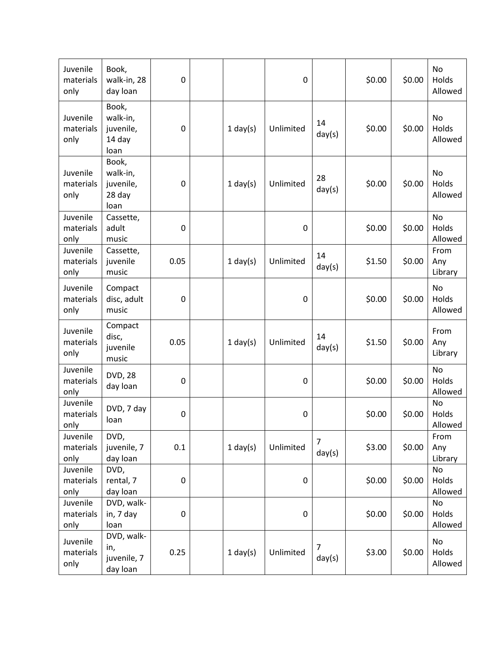| Juvenile<br>materials<br>only | Book,<br>walk-in, 28<br>day loan                 | $\mathbf 0$      |            | $\pmb{0}$ |                          | \$0.00 | \$0.00 | <b>No</b><br>Holds<br>Allowed |
|-------------------------------|--------------------------------------------------|------------------|------------|-----------|--------------------------|--------|--------|-------------------------------|
| Juvenile<br>materials<br>only | Book,<br>walk-in,<br>juvenile,<br>14 day<br>loan | 0                | $1$ day(s) | Unlimited | 14<br>day(s)             | \$0.00 | \$0.00 | <b>No</b><br>Holds<br>Allowed |
| Juvenile<br>materials<br>only | Book,<br>walk-in,<br>juvenile,<br>28 day<br>loan | 0                | $1$ day(s) | Unlimited | 28<br>day(s)             | \$0.00 | \$0.00 | <b>No</b><br>Holds<br>Allowed |
| Juvenile<br>materials<br>only | Cassette,<br>adult<br>music                      | $\mathbf 0$      |            | 0         |                          | \$0.00 | \$0.00 | <b>No</b><br>Holds<br>Allowed |
| Juvenile<br>materials<br>only | Cassette,<br>juvenile<br>music                   | 0.05             | $1$ day(s) | Unlimited | 14<br>day(s)             | \$1.50 | \$0.00 | From<br>Any<br>Library        |
| Juvenile<br>materials<br>only | Compact<br>disc, adult<br>music                  | $\mathbf 0$      |            | $\pmb{0}$ |                          | \$0.00 | \$0.00 | No<br>Holds<br>Allowed        |
| Juvenile<br>materials<br>only | Compact<br>disc,<br>juvenile<br>music            | 0.05             | $1$ day(s) | Unlimited | 14<br>day(s)             | \$1.50 | \$0.00 | From<br>Any<br>Library        |
| Juvenile<br>materials<br>only | <b>DVD, 28</b><br>day loan                       | $\pmb{0}$        |            | 0         |                          | \$0.00 | \$0.00 | <b>No</b><br>Holds<br>Allowed |
| Juvenile<br>materials<br>only | DVD, 7 day<br>loan                               | $\boldsymbol{0}$ |            | 0         |                          | \$0.00 | \$0.00 | <b>No</b><br>Holds<br>Allowed |
| Juvenile<br>materials<br>only | DVD,<br>juvenile, 7<br>day loan                  | 0.1              | $1$ day(s) | Unlimited | $\overline{7}$<br>day(s) | \$3.00 | \$0.00 | From<br>Any<br>Library        |
| Juvenile<br>materials<br>only | DVD,<br>rental, 7<br>day loan                    | $\mathbf 0$      |            | $\pmb{0}$ |                          | \$0.00 | \$0.00 | No<br>Holds<br>Allowed        |
| Juvenile<br>materials<br>only | DVD, walk-<br>in, 7 day<br>loan                  | $\boldsymbol{0}$ |            | 0         |                          | \$0.00 | \$0.00 | No<br>Holds<br>Allowed        |
| Juvenile<br>materials<br>only | DVD, walk-<br>in,<br>juvenile, 7<br>day loan     | 0.25             | $1$ day(s) | Unlimited | $\overline{7}$<br>day(s) | \$3.00 | \$0.00 | No<br>Holds<br>Allowed        |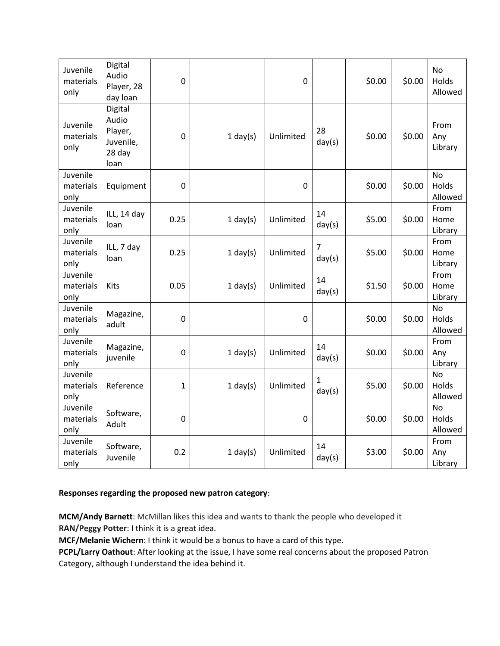| Juvenile<br>materials<br>only | Digital<br>Audio<br>Player, 28<br>day loan                 | $\boldsymbol{0}$ |            | $\mathbf 0$ |                          | \$0.00 | \$0.00 | No<br>Holds<br>Allowed        |
|-------------------------------|------------------------------------------------------------|------------------|------------|-------------|--------------------------|--------|--------|-------------------------------|
| Juvenile<br>materials<br>only | Digital<br>Audio<br>Player,<br>Juvenile,<br>28 day<br>loan | $\mathbf 0$      | $1$ day(s) | Unlimited   | 28<br>day(s)             | \$0.00 | \$0.00 | From<br>Any<br>Library        |
| Juvenile<br>materials<br>only | Equipment                                                  | $\boldsymbol{0}$ |            | $\mathbf 0$ |                          | \$0.00 | \$0.00 | No<br>Holds<br>Allowed        |
| Juvenile<br>materials<br>only | ILL, 14 day<br>loan                                        | 0.25             | $1$ day(s) | Unlimited   | 14<br>day(s)             | \$5.00 | \$0.00 | From<br>Home<br>Library       |
| Juvenile<br>materials<br>only | ILL, 7 day<br>loan                                         | 0.25             | $1$ day(s) | Unlimited   | $\overline{7}$<br>day(s) | \$5.00 | \$0.00 | From<br>Home<br>Library       |
| Juvenile<br>materials<br>only | Kits                                                       | 0.05             | $1$ day(s) | Unlimited   | 14<br>day(s)             | \$1.50 | \$0.00 | From<br>Home<br>Library       |
| Juvenile<br>materials<br>only | Magazine,<br>adult                                         | $\mathbf 0$      |            | $\pmb{0}$   |                          | \$0.00 | \$0.00 | <b>No</b><br>Holds<br>Allowed |
| Juvenile<br>materials<br>only | Magazine,<br>juvenile                                      | $\mathbf 0$      | $1$ day(s) | Unlimited   | 14<br>day(s)             | \$0.00 | \$0.00 | From<br>Any<br>Library        |
| Juvenile<br>materials<br>only | Reference                                                  | $\mathbf{1}$     | $1$ day(s) | Unlimited   | $\mathbf{1}$<br>day(s)   | \$5.00 | \$0.00 | <b>No</b><br>Holds<br>Allowed |
| Juvenile<br>materials<br>only | Software,<br>Adult                                         | $\boldsymbol{0}$ |            | $\pmb{0}$   |                          | \$0.00 | \$0.00 | <b>No</b><br>Holds<br>Allowed |
| Juvenile<br>materials<br>only | Software,<br>Juvenile                                      | 0.2              | $1$ day(s) | Unlimited   | 14<br>day(s)             | \$3.00 | \$0.00 | From<br>Any<br>Library        |

### **Responses regarding the proposed new patron category**:

**MCM/Andy Barnett**: McMillan likes this idea and wants to thank the people who developed it **RAN/Peggy Potter**: I think it is a great idea.

**MCF/Melanie Wichern**: I think it would be a bonus to have a card of this type.

**PCPL/Larry Oathout**: After looking at the issue, I have some real concerns about the proposed Patron Category, although I understand the idea behind it.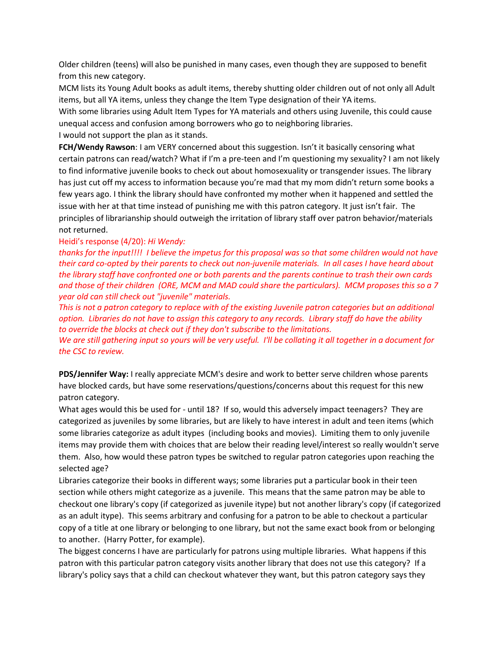Older children (teens) will also be punished in many cases, even though they are supposed to benefit from this new category.

MCM lists its Young Adult books as adult items, thereby shutting older children out of not only all Adult items, but all YA items, unless they change the Item Type designation of their YA items.

With some libraries using Adult Item Types for YA materials and others using Juvenile, this could cause unequal access and confusion among borrowers who go to neighboring libraries.

I would not support the plan as it stands.

**FCH/Wendy Rawson**: I am VERY concerned about this suggestion. Isn't it basically censoring what certain patrons can read/watch? What if I'm a pre-teen and I'm questioning my sexuality? I am not likely to find informative juvenile books to check out about homosexuality or transgender issues. The library has just cut off my access to information because you're mad that my mom didn't return some books a few years ago. I think the library should have confronted my mother when it happened and settled the issue with her at that time instead of punishing me with this patron category. It just isn't fair. The principles of librarianship should outweigh the irritation of library staff over patron behavior/materials not returned.

#### Heidi's response (4/20): *Hi Wendy:*

*thanks for the input!!!! I believe the impetus for this proposal was so that some children would not have their card co-opted by their parents to check out non-juvenile materials. In all cases I have heard about the library staff have confronted one or both parents and the parents continue to trash their own cards and those of their children (ORE, MCM and MAD could share the particulars). MCM proposes this so a 7 year old can still check out "juvenile" materials.*

*This is not a patron category to replace with of the existing Juvenile patron categories but an additional option. Libraries do not have to assign this category to any records. Library staff do have the ability to override the blocks at check out if they don't subscribe to the limitations.*

*We are still gathering input so yours will be very useful. I'll be collating it all together in a document for the CSC to review.*

**PDS/Jennifer Way:** I really appreciate MCM's desire and work to better serve children whose parents have blocked cards, but have some reservations/questions/concerns about this request for this new patron category.

What ages would this be used for - until 18? If so, would this adversely impact teenagers? They are categorized as juveniles by some libraries, but are likely to have interest in adult and teen items (which some libraries categorize as adult itypes (including books and movies). Limiting them to only juvenile items may provide them with choices that are below their reading level/interest so really wouldn't serve them. Also, how would these patron types be switched to regular patron categories upon reaching the selected age?

Libraries categorize their books in different ways; some libraries put a particular book in their teen section while others might categorize as a juvenile. This means that the same patron may be able to checkout one library's copy (if categorized as juvenile itype) but not another library's copy (if categorized as an adult itype). This seems arbitrary and confusing for a patron to be able to checkout a particular copy of a title at one library or belonging to one library, but not the same exact book from or belonging to another. (Harry Potter, for example).

The biggest concerns I have are particularly for patrons using multiple libraries. What happens if this patron with this particular patron category visits another library that does not use this category? If a library's policy says that a child can checkout whatever they want, but this patron category says they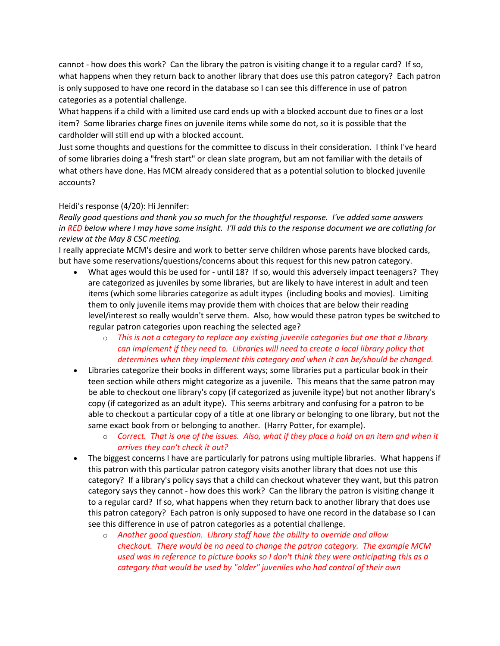cannot - how does this work? Can the library the patron is visiting change it to a regular card? If so, what happens when they return back to another library that does use this patron category? Each patron is only supposed to have one record in the database so I can see this difference in use of patron categories as a potential challenge.

What happens if a child with a limited use card ends up with a blocked account due to fines or a lost item? Some libraries charge fines on juvenile items while some do not, so it is possible that the cardholder will still end up with a blocked account.

Just some thoughts and questions for the committee to discuss in their consideration. I think I've heard of some libraries doing a "fresh start" or clean slate program, but am not familiar with the details of what others have done. Has MCM already considered that as a potential solution to blocked juvenile accounts?

# Heidi's response (4/20): Hi Jennifer:

*Really good questions and thank you so much for the thoughtful response. I've added some answers in RED below where I may have some insight. I'll add this to the response document we are collating for review at the May 8 CSC meeting.*

I really appreciate MCM's desire and work to better serve children whose parents have blocked cards, but have some reservations/questions/concerns about this request for this new patron category.

- What ages would this be used for until 18? If so, would this adversely impact teenagers? They are categorized as juveniles by some libraries, but are likely to have interest in adult and teen items (which some libraries categorize as adult itypes (including books and movies). Limiting them to only juvenile items may provide them with choices that are below their reading level/interest so really wouldn't serve them. Also, how would these patron types be switched to regular patron categories upon reaching the selected age?
	- o *This is not a category to replace any existing juvenile categories but one that a library can implement if they need to. Libraries will need to create a local library policy that determines when they implement this category and when it can be/should be changed.*
- Libraries categorize their books in different ways; some libraries put a particular book in their teen section while others might categorize as a juvenile. This means that the same patron may be able to checkout one library's copy (if categorized as juvenile itype) but not another library's copy (if categorized as an adult itype). This seems arbitrary and confusing for a patron to be able to checkout a particular copy of a title at one library or belonging to one library, but not the same exact book from or belonging to another. (Harry Potter, for example).
	- o *Correct. That is one of the issues. Also, what if they place a hold on an item and when it arrives they can't check it out?*
- The biggest concerns I have are particularly for patrons using multiple libraries. What happens if this patron with this particular patron category visits another library that does not use this category? If a library's policy says that a child can checkout whatever they want, but this patron category says they cannot - how does this work? Can the library the patron is visiting change it to a regular card? If so, what happens when they return back to another library that does use this patron category? Each patron is only supposed to have one record in the database so I can see this difference in use of patron categories as a potential challenge.
	- o *Another good question. Library staff have the ability to override and allow checkout. There would be no need to change the patron category. The example MCM used was in reference to picture books so I don't think they were anticipating this as a category that would be used by "older" juveniles who had control of their own*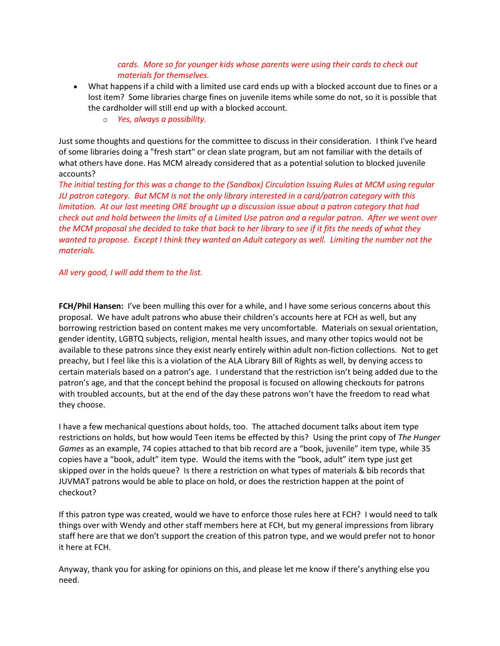## *cards. More so for younger kids whose parents were using their cards to check out materials for themselves.*

- What happens if a child with a limited use card ends up with a blocked account due to fines or a lost item? Some libraries charge fines on juvenile items while some do not, so it is possible that the cardholder will still end up with a blocked account.
	- o *Yes, always a possibility.*

Just some thoughts and questions for the committee to discuss in their consideration. I think I've heard of some libraries doing a "fresh start" or clean slate program, but am not familiar with the details of what others have done. Has MCM already considered that as a potential solution to blocked juvenile accounts?

*The initial testing for this was a change to the (Sandbox) Circulation Issuing Rules at MCM using regular JU patron category. But MCM is not the only library interested in a card/patron category with this limitation. At our last meeting ORE brought up a discussion issue about a patron category that had check out and hold between the limits of a Limited Use patron and a regular patron. After we went over the MCM proposal she decided to take that back to her library to see if it fits the needs of what they wanted to propose. Except I think they wanted an Adult category as well. Limiting the number not the materials.*

*All very good, I will add them to the list.*

**FCH/Phil Hansen:** I've been mulling this over for a while, and I have some serious concerns about this proposal. We have adult patrons who abuse their children's accounts here at FCH as well, but any borrowing restriction based on content makes me very uncomfortable. Materials on sexual orientation, gender identity, LGBTQ subjects, religion, mental health issues, and many other topics would not be available to these patrons since they exist nearly entirely within adult non-fiction collections. Not to get preachy, but I feel like this is a violation of the ALA Library Bill of Rights as well, by denying access to certain materials based on a patron's age. I understand that the restriction isn't being added due to the patron's age, and that the concept behind the proposal is focused on allowing checkouts for patrons with troubled accounts, but at the end of the day these patrons won't have the freedom to read what they choose.

I have a few mechanical questions about holds, too. The attached document talks about item type restrictions on holds, but how would Teen items be effected by this? Using the print copy of *The Hunger Games* as an example, 74 copies attached to that bib record are a "book, juvenile" item type, while 35 copies have a "book, adult" item type. Would the items with the "book, adult" item type just get skipped over in the holds queue? Is there a restriction on what types of materials & bib records that JUVMAT patrons would be able to place on hold, or does the restriction happen at the point of checkout?

If this patron type was created, would we have to enforce those rules here at FCH? I would need to talk things over with Wendy and other staff members here at FCH, but my general impressions from library staff here are that we don't support the creation of this patron type, and we would prefer not to honor it here at FCH.

Anyway, thank you for asking for opinions on this, and please let me know if there's anything else you need.